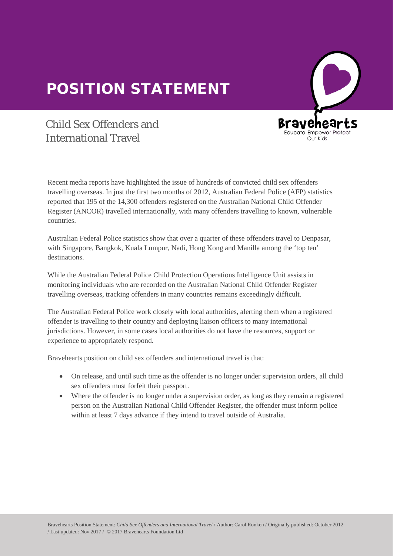## POSITION STATEMENT



## Child Sex Offenders and International Travel

Recent media reports have highlighted the issue of hundreds of convicted child sex offenders travelling overseas. In just the first two months of 2012, Australian Federal Police (AFP) statistics travelling overseas. In just the first two months of 2012, Australian Federal Police (AFP) statis<br>reported that 195 of the 14,300 offenders registered on the Australian National Child Offender Register (ANCOR) travelled internationally, with many offenders travelling to known, vulnerable countries.

Australian Federal Police statistics show that over a quarter of these offenders travel to Denpasar,<br>with Singapore, Bangkok, Kuala Lumpur, Nadi, Hong Kong and Manilla among the 'ton ten' with Singapore, Bangkok, Kuala Lumpur, Nadi, Hong Kong and Manilla among the 'top ten' destinations.

While the Australian Federal Police Child Protection Operations Intelligence Unit assists in monitoring individuals who are recorded on the Australian National Child Offender Register travelling overseas, tracking offenders in many countries remains exceedingly difficult.

The Australian Federal Police work closely with local authorities, alerting them when a registered offender is travelling to their country and deploying liaison officers to many international jurisdictions. However, in some cases local authorities do not have the resources, support or experience to appropriately respond.

Bravehearts position on child sex offenders and international travel is that:

- On release, and until such time as the offender is no longer under supervision orders, all child sex offenders must forfeit their passport.
- Where the offender is no longer under a supervision order, as long as they remain a registered person on the Australian National Child Offender Register, the offender must inform police within at least 7 days advance if they intend to travel outside of Australia.